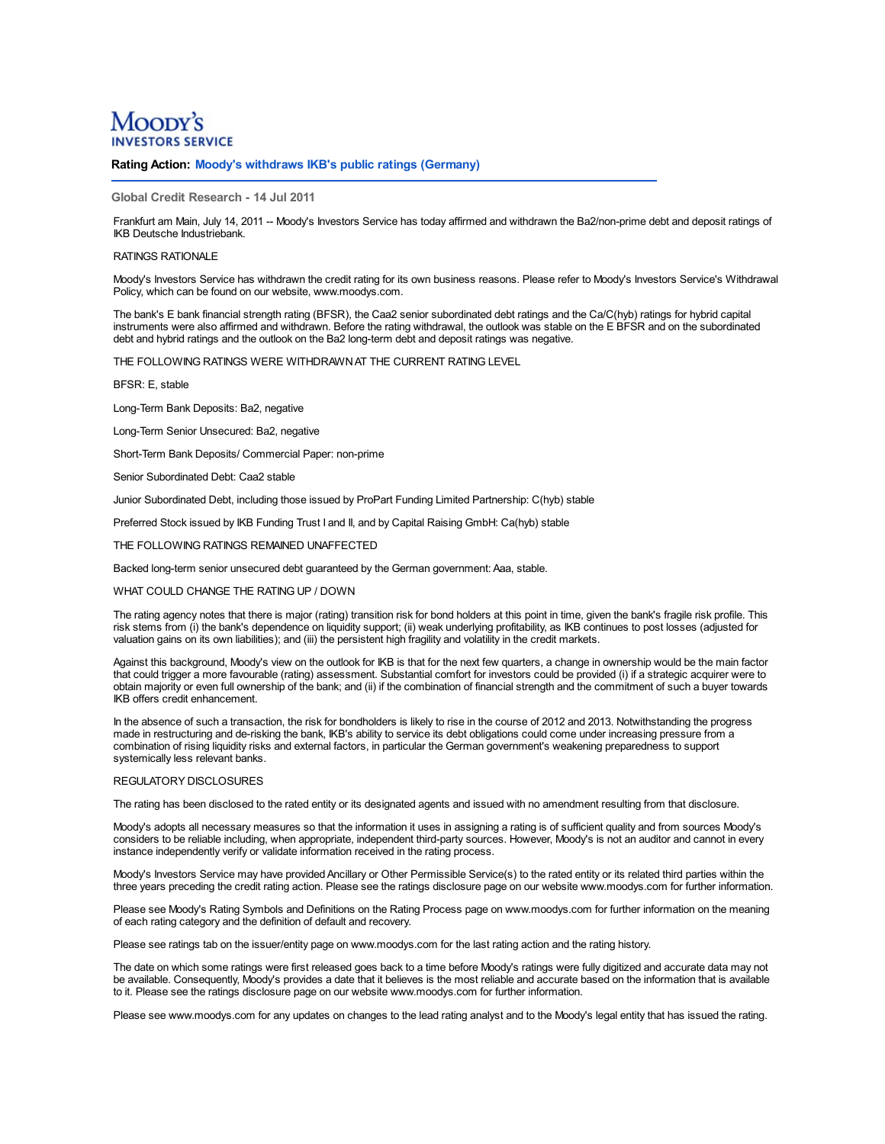# Moopy's **SERVICE**

## **Rating Action: Moody's withdraws IKB's public ratings (Germany)**

### **Global Credit Research - 14 Jul 2011**

Frankfurt am Main, July 14, 2011 -- Moody's Investors Service has today affirmed and withdrawn the Ba2/non-prime debt and deposit ratings of IKB Deutsche Industriebank.

#### RATINGS RATIONAL F

Moody's Investors Service has withdrawn the credit rating for its own business reasons. Please refer to Moody's Investors Service's Withdrawal Policy, which can be found on our website, www.moodys.com.

The bank's E bank financial strength rating (BFSR), the Caa2 senior subordinated debt ratings and the Ca/C(hyb) ratings for hybrid capital instruments were also affirmed and withdrawn. Before the rating withdrawal, the outlook was stable on the E BFSR and on the subordinated debt and hybrid ratings and the outlook on the Ba2 long-term debt and deposit ratings was negative.

THE FOLLOWING RATINGS WERE WITHDRAWNAT THE CURRENT RATING LEVEL

BFSR: E, stable

Long-Term Bank Deposits: Ba2, negative

Long-Term Senior Unsecured: Ba2, negative

Short-Term Bank Deposits/ Commercial Paper: non-prime

Senior Subordinated Debt: Caa2 stable

Junior Subordinated Debt, including those issued by ProPart Funding Limited Partnership: C(hyb) stable

Preferred Stock issued by IKB Funding Trust I and II, and by Capital Raising GmbH: Ca(hyb) stable

THE FOLLOWING RATINGS REMAINED UNAFFECTED

Backed long-term senior unsecured debt guaranteed by the German government: Aaa, stable.

WHAT COULD CHANGE THE RATING UP / DOWN

The rating agency notes that there is major (rating) transition risk for bond holders at this point in time, given the bank's fragile risk profile. This risk stems from (i) the bank's dependence on liquidity support; (ii) weak underlying profitability, as IKB continues to post losses (adjusted for valuation gains on its own liabilities); and (iii) the persistent high fragility and volatility in the credit markets.

Against this background, Moody's view on the outlook for IKB is that for the next few quarters, a change in ownership would be the main factor that could trigger a more favourable (rating) assessment. Substantial comfort for investors could be provided (i) if a strategic acquirer were to obtain majority or even full ownership of the bank; and (ii) if the combination of financial strength and the commitment of such a buyer towards IKB offers credit enhancement.

In the absence of such a transaction, the risk for bondholders is likely to rise in the course of 2012 and 2013. Notwithstanding the progress made in restructuring and de-risking the bank, IKB's ability to service its debt combination of rising liquidity risks and external factors, in particular the German government's weakening preparedness to support systemically less relevant banks.

#### REGULATORY DISCLOSURES

The rating has been disclosed to the rated entity or its designated agents and issued with no amendment resulting from that disclosure.

Moody's adopts all necessary measures so that the information it uses in assigning a rating is of sufficient quality and from sources Moody's considers to be reliable including, when appropriate, independent third-party sources. However, Moody's is not an auditor and cannot in every instance independently verify or validate information received in the rating process.

Moody's Investors Service may have provided Ancillary or Other Permissible Service(s) to the rated entity or its related third parties within the three years preceding the credit rating action. Please see the ratings disclosure page on our website www.moodys.com for further information.

Please see Moody's Rating Symbols and Definitions on the Rating Process page on www.moodys.com for further information on the meaning of each rating category and the definition of default and recovery.

Please see ratings tab on the issuer/entity page on www.moodys.com for the last rating action and the rating history.

The date on which some ratings were first released goes back to a time before Moody's ratings were fully digitized and accurate data may not be available. Consequently, Moody's provides a date that it believes is the most reliable and accurate based on the information that is available to it. Please see the ratings disclosure page on our website www.moodys.com for further information.

Please see www.moodys.com for any updates on changes to the lead rating analyst and to the Moody's legal entity that has issued the rating.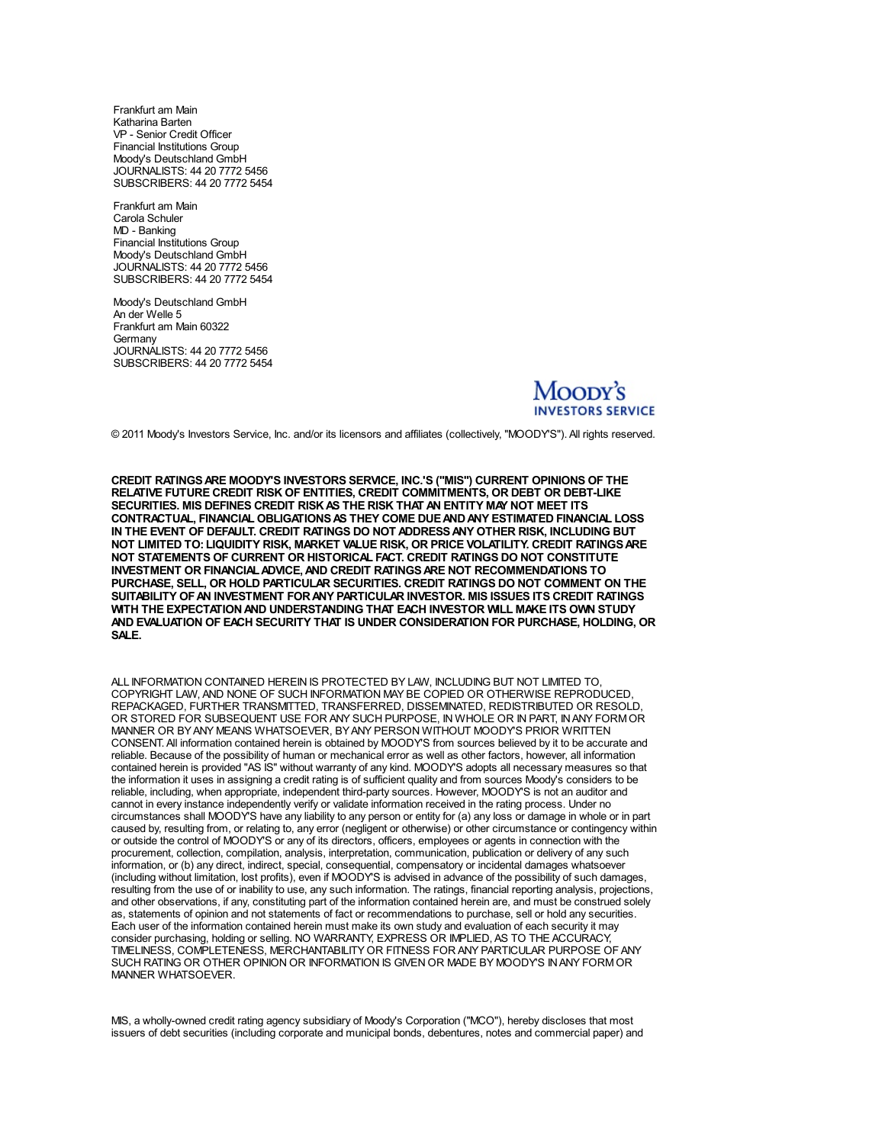Frankfurt am Main Katharina Barten VP - Senior Credit Officer Financial Institutions Group Moody's Deutschland GmbH JOURNALISTS: 44 20 7772 5456 SUBSCRIBERS: 44 20 7772 5454

Frankfurt am Main MD - Banking Financial Institutions Group Moody's Deutschland GmbH JOURNALISTS: 44 20 7772 5456 SUBSCRIBERS: 44 20 7772 5454

Moody's Deutschland GmbH An der Welle 5 Frankfurt am Main 60322 **Germany** JOURNALISTS: 44 20 7772 5456 SUBSCRIBERS: 44 20 7772 5454



© 2011 Moody's Investors Service, Inc. and/or its licensors and affiliates (collectively, "MOODY'S"). All rights reserved.

**CREDIT RATINGSARE MOODY'S INVESTORS SERVICE, INC.'S ("MIS") CURRENT OPINIONS OF THE RELATIVE FUTURE CREDIT RISK OF ENTITIES, CREDIT COMMITMENTS, OR DEBT OR DEBT-LIKE SECURITIES. MIS DEFINES CREDIT RISKAS THE RISK THAT AN ENTITY MAY NOT MEET ITS CONTRACTUAL, FINANCIAL OBLIGATIONSAS THEY COME DUEANDANY ESTIMATED FINANCIAL LOSS IN THE EVENT OF DEFAULT. CREDIT RATINGS DO NOT ADDRESSANY OTHER RISK, INCLUDING BUT NOT LIMITED TO: LIQUIDITY RISK, MARKET VALUE RISK, OR PRICE VOLATILITY. CREDIT RATINGSARE NOT STATEMENTS OF CURRENT OR HISTORICAL FACT. CREDIT RATINGS DO NOT CONSTITUTE INVESTMENT OR FINANCIALADVICE,AND CREDIT RATINGSARE NOT RECOMMENDATIONS TO PURCHASE, SELL, OR HOLD PARTICULAR SECURITIES. CREDIT RATINGS DO NOT COMMENT ON THE SUITABILITY OFAN INVESTMENT FORANY PARTICULAR INVESTOR. MIS ISSUES ITS CREDIT RATINGS WITH THE EXPECTATIONAND UNDERSTANDING THAT EACH INVESTOR WILL MAKE ITS OWN STUDY AND EVALUATION OF EACH SECURITY THAT IS UNDER CONSIDERATION FOR PURCHASE, HOLDING, OR SALE.**

ALL INFORMATION CONTAINED HEREIN IS PROTECTED BY LAW, INCLUDING BUT NOT LIMITED TO, COPYRIGHT LAW, AND NONE OF SUCH INFORMATION MAY BE COPIED OR OTHERWISE REPRODUCED,<br>REPACKAGED, FURTHER TRANSMITTED, TRANSFERRED, DISSEMINATED, REDISTRIBUTED OR RESOLD, OR STORED FOR SUBSEQUENT USE FOR ANY SUCH PURPOSE. IN WHOLE OR IN PART, IN ANY FORM OR MANNER OR BYANY MEANS WHATSOEVER, BYANY PERSON WITHOUT MOODY'S PRIOR WRITTEN CONSENT. All information contained herein is obtained by MOODY'S from sources believed by it to be accurate and reliable. Because of the possibility of human or mechanical error as well as other factors, however, all information contained herein is provided "AS IS" without warranty of any kind. MOODY'S adopts all necessary measures so that the information it uses in assigning a credit rating is of sufficient quality and from sources Moody's considers to be reliable, including, when appropriate, independent third-party sources. However, MOODY'S is not an auditor and cannot in every instance independently verify or validate information received in the rating process. Under no circumstances shall MOODY'S have any liability to any person or entity for (a) any loss or damage in whole or in part caused by, resulting from, or relating to, any error (negligent or otherwise) or other circumstance or contingency within or outside the control of MOODY'S or any of its directors, officers, employees or agents in connection with the procurement, collection, compilation, analysis, interpretation, communication, publication or delivery of any such information, or (b) any direct, indirect, special, consequential, compensatory or incidental damages whatsoever (including without limitation, lost profits), even if MOODY'S is advised in advance of the possibility of such damages, resulting from the use of or inability to use, any such information. The ratings, financial reporting analysis, projections, and other observations, if any, constituting part of the information contained herein are, and must be construed solely as, statements of opinion and not statements of fact or recommendations to purchase, sell or hold any securities. Each user of the information contained herein must make its own study and evaluation of each security it may consider purchasing, holding or selling. NO WARRANTY, EXPRESS OR IMPLIED, AS TO THE ACCURACY, TIMELINESS, COMPLETENESS, MERCHA[NTABILITYOR](http://www.moodys.com/) FITNESS FOR ANY PARTICULAR PURPOSE OF ANY SUCH RATING OR OTHER OPINION OR INFORMATION IS GIVEN OR MADE BY MOODY'S INANY FORMOR MANNER WHATSOEVER.

MIS, a wholly-owned credit rating agency subsidiary of Moody's Corporation ("MCO"), hereby discloses that most issuers of debt securities (including corporate and municipal bonds, debentures, notes and commercial paper) and